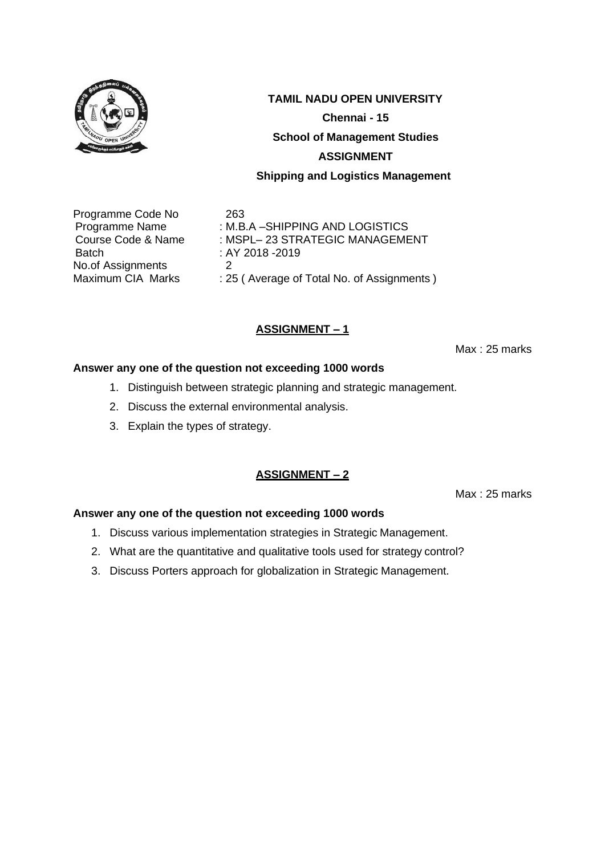

Programme Code No 263 Batch : AY 2018 -2019 No.of Assignments 2<br>Maximum CIA Marks : 29

Programme Name : M.B.A – SHIPPING AND LOGISTICS Course Code & Name : MSPL– 23 STRATEGIC MANAGEMENT : 25 ( Average of Total No. of Assignments )

# **ASSIGNMENT – 1**

Max : 25 marks

#### **Answer any one of the question not exceeding 1000 words**

- 1. Distinguish between strategic planning and strategic management.
- 2. Discuss the external environmental analysis.
- 3. Explain the types of strategy.

# **ASSIGNMENT – 2**

Max : 25 marks

- 1. Discuss various implementation strategies in Strategic Management.
- 2. What are the quantitative and qualitative tools used for strategy control?
- 3. Discuss Porters approach for globalization in Strategic Management.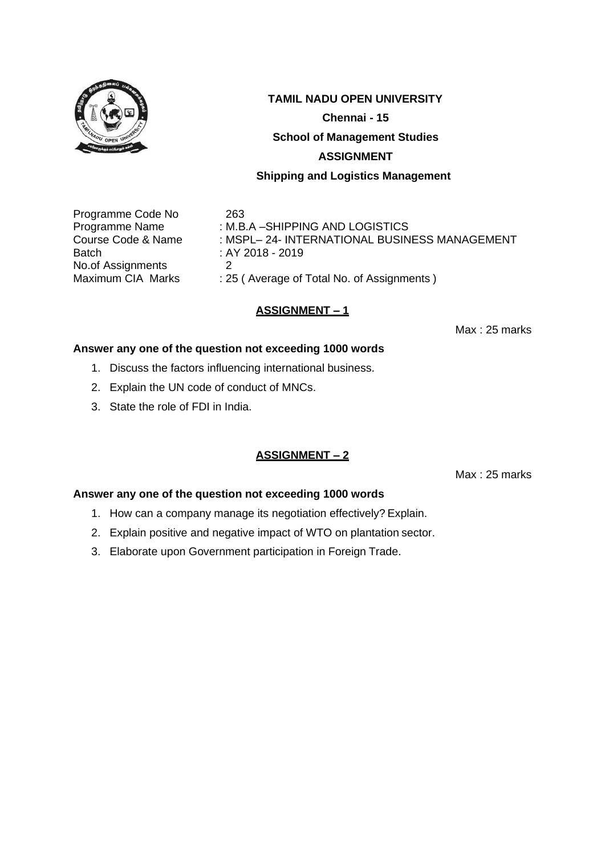

#### **TAMIL NADU OPEN UNIVERSITY**

**Chennai - 15**

**School of Management Studies** 

#### **ASSIGNMENT**

#### **Shipping and Logistics Management**

Programme Code No 263 Batch : AY 2018 - 2019 No.of Assignments 2<br>Maximum CIA Marks : 25

Programme Name : M.B.A -SHIPPING AND LOGISTICS Course Code & Name : MSPL– 24- INTERNATIONAL BUSINESS MANAGEMENT : 25 ( Average of Total No. of Assignments )

#### **ASSIGNMENT – 1**

Max : 25 marks

#### **Answer any one of the question not exceeding 1000 words**

- 1. Discuss the factors influencing international business.
- 2. Explain the UN code of conduct of MNCs.
- 3. State the role of FDI in India.

#### **ASSIGNMENT – 2**

Max : 25 marks

- 1. How can a company manage its negotiation effectively? Explain.
- 2. Explain positive and negative impact of WTO on plantation sector.
- 3. Elaborate upon Government participation in Foreign Trade.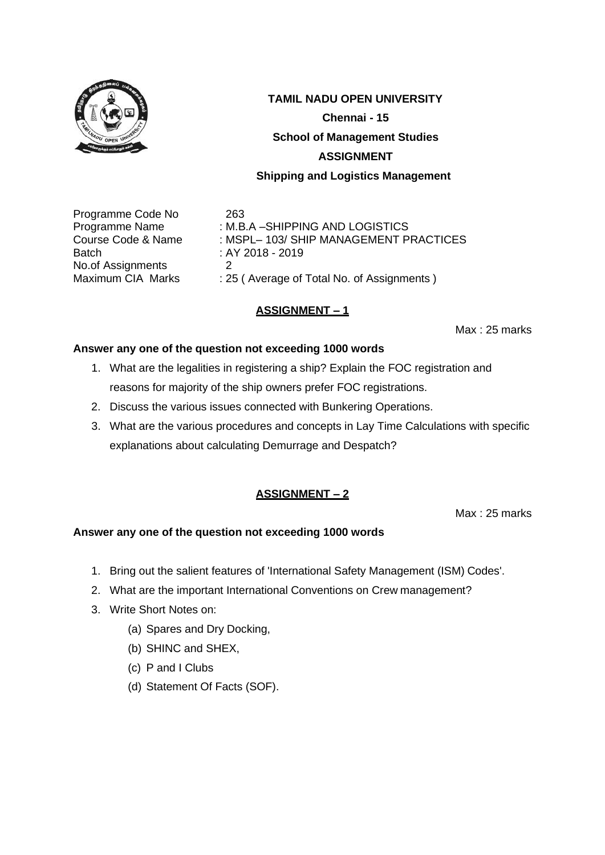

Programme Code No 263 Batch : AY 2018 - 2019 No.of Assignments 2<br>Maximum CIA Marks : 29

Programme Name : M.B.A – SHIPPING AND LOGISTICS Course Code & Name : MSPL– 103/ SHIP MANAGEMENT PRACTICES

: 25 ( Average of Total No. of Assignments )

# **ASSIGNMENT – 1**

Max : 25 marks

#### **Answer any one of the question not exceeding 1000 words**

- 1. What are the legalities in registering a ship? Explain the FOC registration and reasons for majority of the ship owners prefer FOC registrations.
- 2. Discuss the various issues connected with Bunkering Operations.
- 3. What are the various procedures and concepts in Lay Time Calculations with specific explanations about calculating Demurrage and Despatch?

# **ASSIGNMENT – 2**

Max : 25 marks

- 1. Bring out the salient features of 'International Safety Management (ISM) Codes'.
- 2. What are the important International Conventions on Crew management?
- 3. Write Short Notes on:
	- (a) Spares and Dry Docking,
	- (b) SHINC and SHEX,
	- (c) P and I Clubs
	- (d) Statement Of Facts (SOF).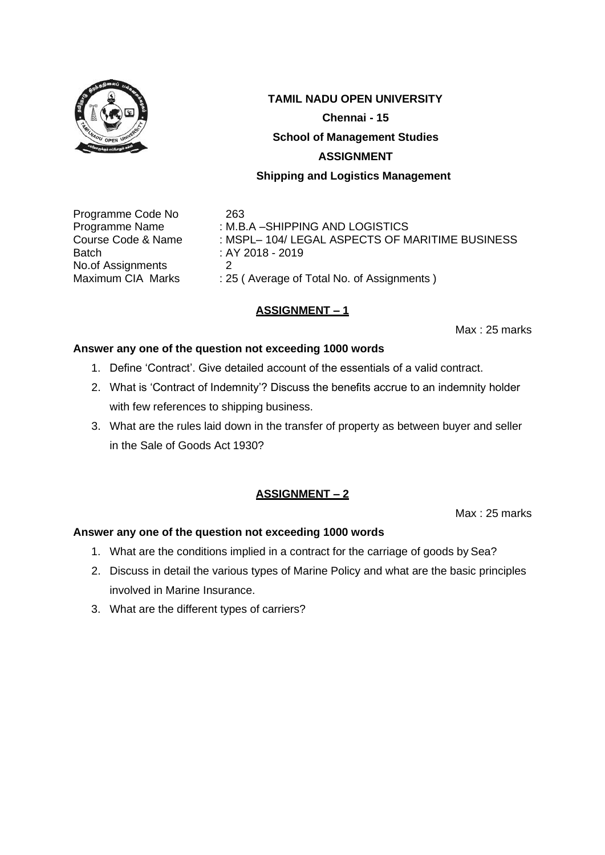

# **TAMIL NADU OPEN UNIVERSITY Chennai - 15 School of Management Studies**

#### **ASSIGNMENT**

#### **Shipping and Logistics Management**

Programme Code No 263 Batch : AY 2018 - 2019 No.of Assignments 2<br>Maximum CIA Marks : 29

Programme Name : M.B.A – SHIPPING AND LOGISTICS Course Code & Name : MSPL– 104/ LEGAL ASPECTS OF MARITIME BUSINESS : 25 ( Average of Total No. of Assignments )

# **ASSIGNMENT – 1**

Max : 25 marks

#### **Answer any one of the question not exceeding 1000 words**

- 1. Define 'Contract'. Give detailed account of the essentials of a valid contract.
- 2. What is 'Contract of Indemnity'? Discuss the benefits accrue to an indemnity holder with few references to shipping business.
- 3. What are the rules laid down in the transfer of property as between buyer and seller in the Sale of Goods Act 1930?

# **ASSIGNMENT – 2**

Max : 25 marks

- 1. What are the conditions implied in a contract for the carriage of goods by Sea?
- 2. Discuss in detail the various types of Marine Policy and what are the basic principles involved in Marine Insurance.
- 3. What are the different types of carriers?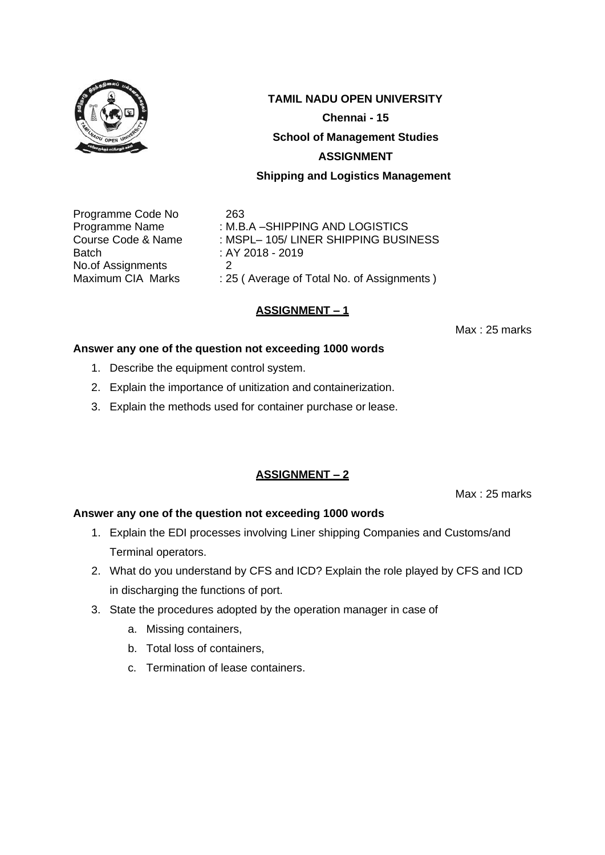

Programme Code No 263 Batch : AY 2018 - 2019 No.of Assignments 2<br>Maximum CIA Marks : 29

Programme Name : M.B.A – SHIPPING AND LOGISTICS Course Code & Name : MSPL- 105/ LINER SHIPPING BUSINESS

: 25 ( Average of Total No. of Assignments )

# **ASSIGNMENT – 1**

Max : 25 marks

#### **Answer any one of the question not exceeding 1000 words**

- 1. Describe the equipment control system.
- 2. Explain the importance of unitization and containerization.
- 3. Explain the methods used for container purchase or lease.

#### **ASSIGNMENT – 2**

Max : 25 marks

- 1. Explain the EDI processes involving Liner shipping Companies and Customs/and Terminal operators.
- 2. What do you understand by CFS and ICD? Explain the role played by CFS and ICD in discharging the functions of port.
- 3. State the procedures adopted by the operation manager in case of
	- a. Missing containers,
	- b. Total loss of containers,
	- c. Termination of lease containers.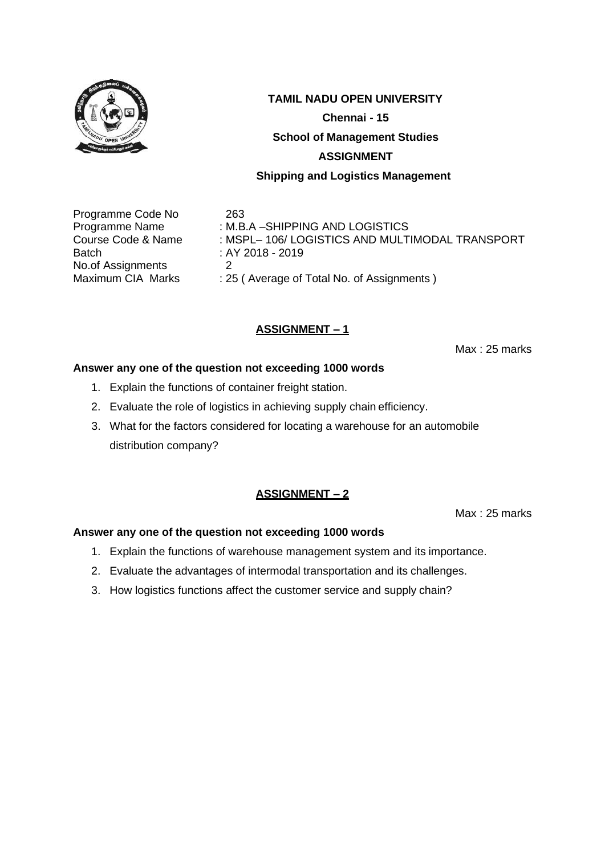

Programme Code No 263 Batch : AY 2018 - 2019 No.of Assignments 2<br>Maximum CIA Marks : 25

Programme Name : M.B.A – SHIPPING AND LOGISTICS Course Code & Name : MSPL– 106/ LOGISTICS AND MULTIMODAL TRANSPORT : 25 ( Average of Total No. of Assignments )

# **ASSIGNMENT – 1**

Max : 25 marks

#### **Answer any one of the question not exceeding 1000 words**

- 1. Explain the functions of container freight station.
- 2. Evaluate the role of logistics in achieving supply chain efficiency.
- 3. What for the factors considered for locating a warehouse for an automobile distribution company?

# **ASSIGNMENT – 2**

Max : 25 marks

- 1. Explain the functions of warehouse management system and its importance.
- 2. Evaluate the advantages of intermodal transportation and its challenges.
- 3. How logistics functions affect the customer service and supply chain?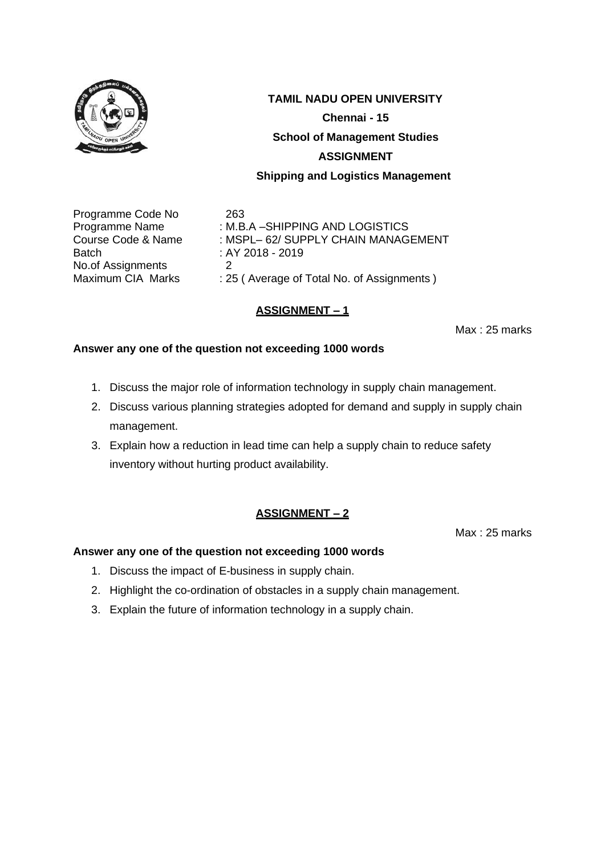

Programme Code No 263 Batch : AY 2018 - 2019 No.of Assignments 2<br>Maximum CIA Marks : 25

Programme Name : M.B.A – SHIPPING AND LOGISTICS Course Code & Name : MSPL– 62/ SUPPLY CHAIN MANAGEMENT : 25 ( Average of Total No. of Assignments )

# **ASSIGNMENT – 1**

Max : 25 marks

#### **Answer any one of the question not exceeding 1000 words**

- 1. Discuss the major role of information technology in supply chain management.
- 2. Discuss various planning strategies adopted for demand and supply in supply chain management.
- 3. Explain how a reduction in lead time can help a supply chain to reduce safety inventory without hurting product availability.

# **ASSIGNMENT – 2**

Max : 25 marks

- 1. Discuss the impact of E-business in supply chain.
- 2. Highlight the co-ordination of obstacles in a supply chain management.
- 3. Explain the future of information technology in a supply chain.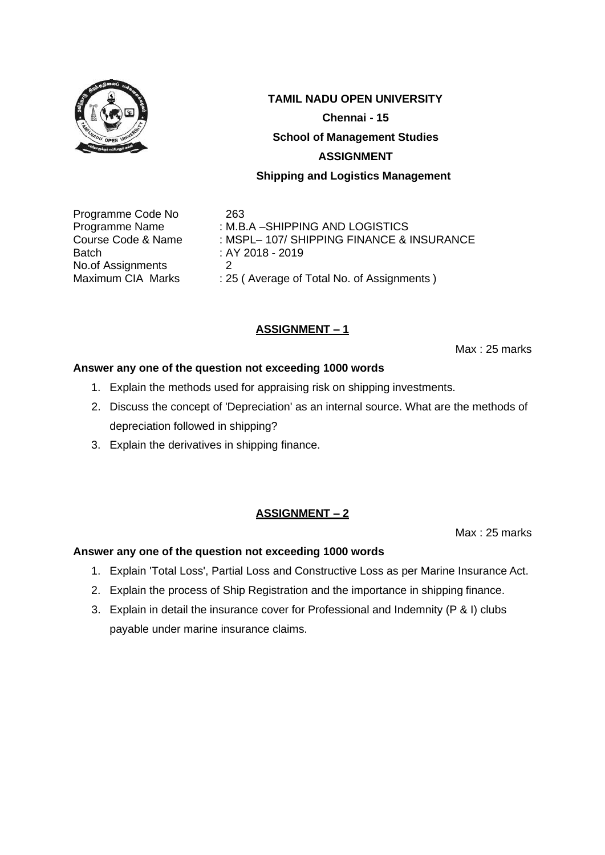

Programme Code No 263 Batch : AY 2018 - 2019 No.of Assignments 2<br>Maximum CIA Marks : 29

Programme Name : M.B.A – SHIPPING AND LOGISTICS Course Code & Name : MSPL– 107/ SHIPPING FINANCE & INSURANCE : 25 ( Average of Total No. of Assignments )

# **ASSIGNMENT – 1**

Max : 25 marks

#### **Answer any one of the question not exceeding 1000 words**

- 1. Explain the methods used for appraising risk on shipping investments.
- 2. Discuss the concept of 'Depreciation' as an internal source. What are the methods of depreciation followed in shipping?
- 3. Explain the derivatives in shipping finance.

#### **ASSIGNMENT – 2**

Max : 25 marks

- 1. Explain 'Total Loss', Partial Loss and Constructive Loss as per Marine Insurance Act.
- 2. Explain the process of Ship Registration and the importance in shipping finance.
- 3. Explain in detail the insurance cover for Professional and Indemnity (P & I) clubs payable under marine insurance claims.